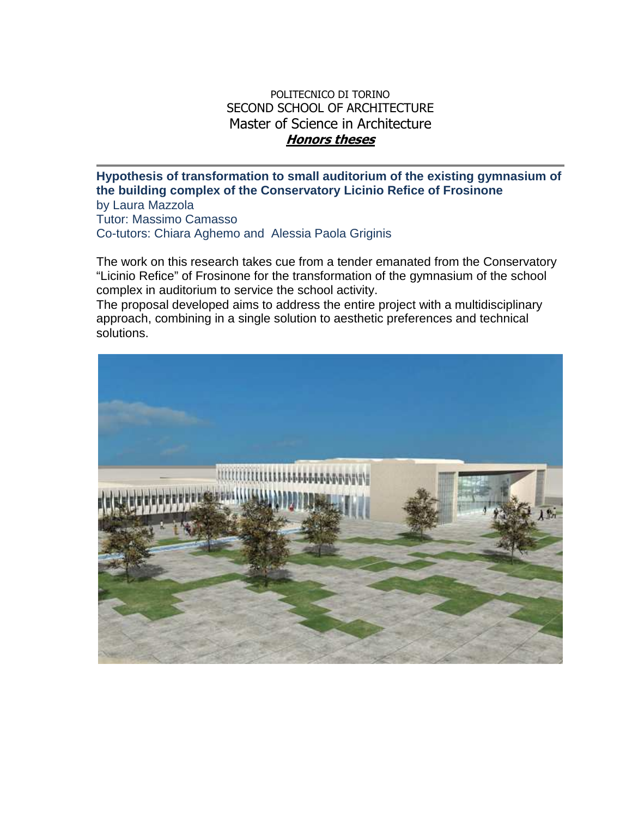## POLITECNICO DI TORINO SECOND SCHOOL OF ARCHITECTURE Master of Science in Architecture **Honors theses**

**Hypothesis of transformation to small auditorium of the existing gymnasium of the building complex of the Conservatory Licinio Refice of Frosinone**  by Laura Mazzola

Tutor: Massimo Camasso Co-tutors: Chiara Aghemo and Alessia Paola Griginis

The work on this research takes cue from a tender emanated from the Conservatory "Licinio Refice" of Frosinone for the transformation of the gymnasium of the school complex in auditorium to service the school activity.

The proposal developed aims to address the entire project with a multidisciplinary approach, combining in a single solution to aesthetic preferences and technical solutions.

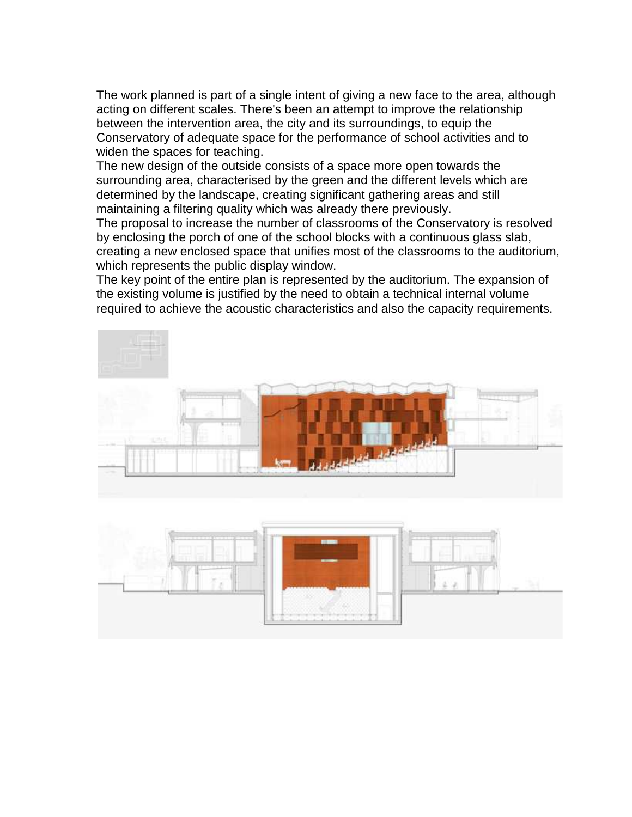The work planned is part of a single intent of giving a new face to the area, although acting on different scales. There's been an attempt to improve the relationship between the intervention area, the city and its surroundings, to equip the Conservatory of adequate space for the performance of school activities and to widen the spaces for teaching.

The new design of the outside consists of a space more open towards the surrounding area, characterised by the green and the different levels which are determined by the landscape, creating significant gathering areas and still maintaining a filtering quality which was already there previously.

The proposal to increase the number of classrooms of the Conservatory is resolved by enclosing the porch of one of the school blocks with a continuous glass slab, creating a new enclosed space that unifies most of the classrooms to the auditorium, which represents the public display window.

The key point of the entire plan is represented by the auditorium. The expansion of the existing volume is justified by the need to obtain a technical internal volume required to achieve the acoustic characteristics and also the capacity requirements.

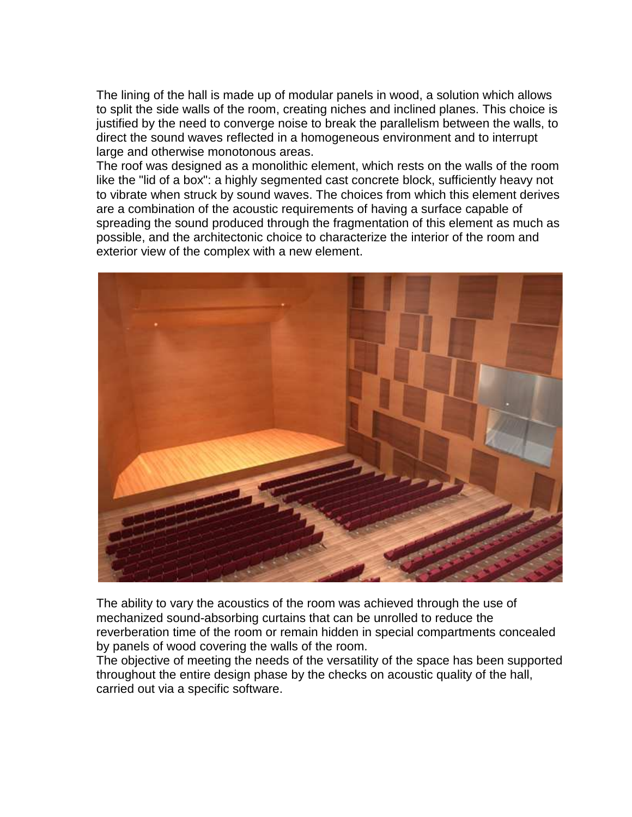The lining of the hall is made up of modular panels in wood, a solution which allows to split the side walls of the room, creating niches and inclined planes. This choice is justified by the need to converge noise to break the parallelism between the walls, to direct the sound waves reflected in a homogeneous environment and to interrupt large and otherwise monotonous areas.

The roof was designed as a monolithic element, which rests on the walls of the room like the "lid of a box": a highly segmented cast concrete block, sufficiently heavy not to vibrate when struck by sound waves. The choices from which this element derives are a combination of the acoustic requirements of having a surface capable of spreading the sound produced through the fragmentation of this element as much as possible, and the architectonic choice to characterize the interior of the room and exterior view of the complex with a new element.



The ability to vary the acoustics of the room was achieved through the use of mechanized sound-absorbing curtains that can be unrolled to reduce the reverberation time of the room or remain hidden in special compartments concealed by panels of wood covering the walls of the room.

The objective of meeting the needs of the versatility of the space has been supported throughout the entire design phase by the checks on acoustic quality of the hall, carried out via a specific software.